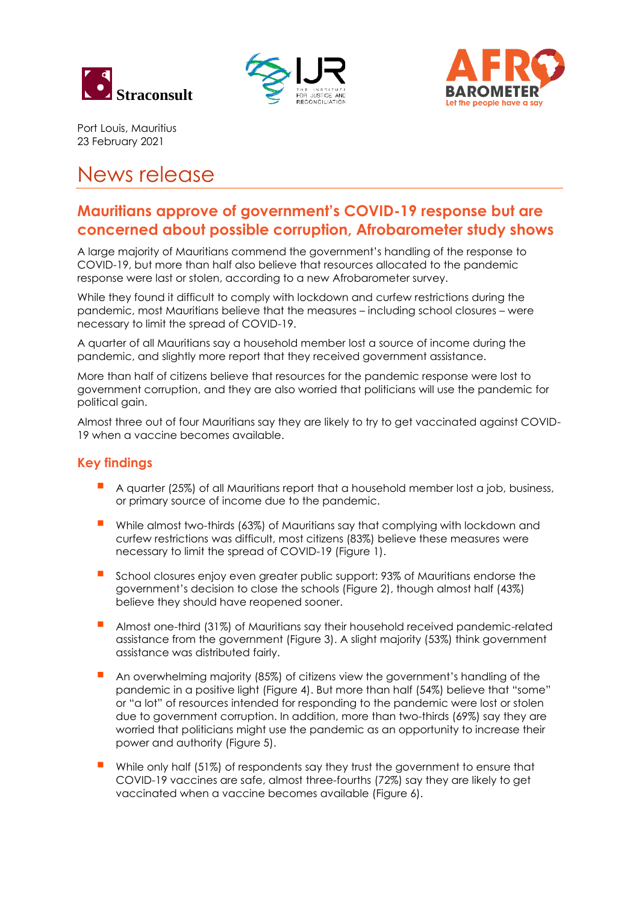





Port Louis, Mauritius 23 February 2021

# News release

# **Mauritians approve of government's COVID-19 response but are concerned about possible corruption, Afrobarometer study shows**

A large majority of Mauritians commend the government's handling of the response to COVID-19, but more than half also believe that resources allocated to the pandemic response were last or stolen, according to a new Afrobarometer survey.

While they found it difficult to comply with lockdown and curfew restrictions during the pandemic, most Mauritians believe that the measures – including school closures – were necessary to limit the spread of COVID-19.

A quarter of all Mauritians say a household member lost a source of income during the pandemic, and slightly more report that they received government assistance.

More than half of citizens believe that resources for the pandemic response were lost to government corruption, and they are also worried that politicians will use the pandemic for political gain.

Almost three out of four Mauritians say they are likely to try to get vaccinated against COVID-19 when a vaccine becomes available.

## **Key findings**

- A quarter (25%) of all Mauritians report that a household member lost a job, business, or primary source of income due to the pandemic.
- While almost two-thirds (63%) of Mauritians say that complying with lockdown and curfew restrictions was difficult, most citizens (83%) believe these measures were necessary to limit the spread of COVID-19 (Figure 1).
- School closures enjoy even greater public support: 93% of Mauritians endorse the government's decision to close the schools (Figure 2), though almost half (43%) believe they should have reopened sooner.
- Almost one-third (31%) of Mauritians say their household received pandemic-related assistance from the government (Figure 3). A slight majority (53%) think government assistance was distributed fairly.
- An overwhelming majority (85%) of citizens view the government's handling of the pandemic in a positive light (Figure 4). But more than half (54%) believe that "some" or "a lot" of resources intended for responding to the pandemic were lost or stolen due to government corruption. In addition, more than two-thirds (69%) say they are worried that politicians might use the pandemic as an opportunity to increase their power and authority (Figure 5).
- While only half (51%) of respondents say they trust the government to ensure that COVID-19 vaccines are safe, almost three-fourths (72%) say they are likely to get vaccinated when a vaccine becomes available (Figure 6).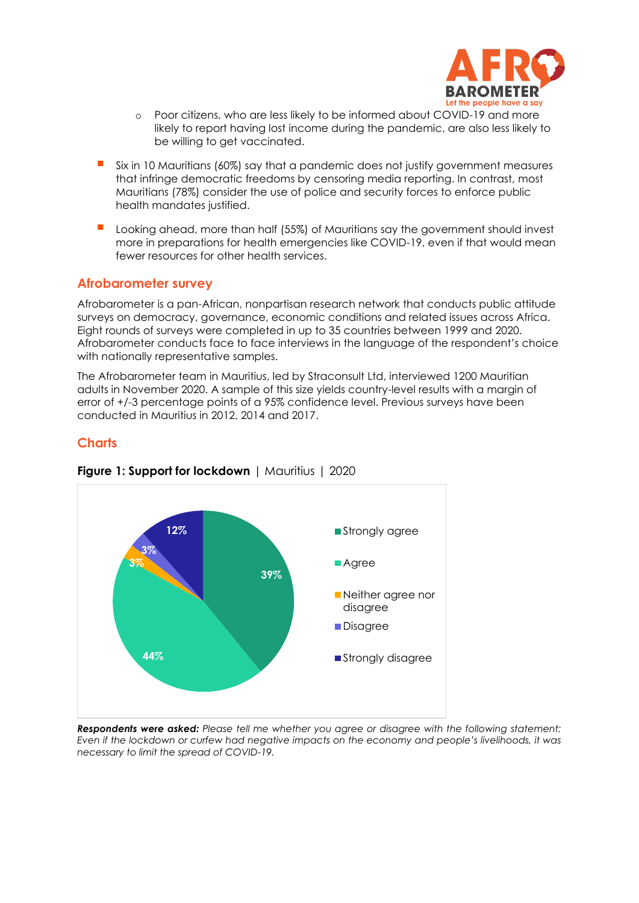

- o Poor citizens, who are less likely to be informed about COVID-19 and more likely to report having lost income during the pandemic, are also less likely to be willing to get vaccinated.
- Six in 10 Mauritians (60%) say that a pandemic does not justify government measures that infringe democratic freedoms by censoring media reporting. In contrast, most Mauritians (78%) consider the use of police and security forces to enforce public health mandates justified.
- Looking ahead, more than half (55%) of Mauritians say the government should invest more in preparations for health emergencies like COVID-19, even if that would mean fewer resources for other health services.

#### **Afrobarometer survey**

Afrobarometer is a pan-African, nonpartisan research network that conducts public attitude surveys on democracy, governance, economic conditions and related issues across Africa. Eight rounds of surveys were completed in up to 35 countries between 1999 and 2020. Afrobarometer conducts face to face interviews in the language of the respondent's choice with nationally representative samples.

The Afrobarometer team in Mauritius, led by Straconsult Ltd, interviewed 1200 Mauritian adults in November 2020. A sample of this size yields country-level results with a margin of error of +/-3 percentage points of a 95% confidence level. Previous surveys have been conducted in Mauritius in 2012, 2014 and 2017.

## **Charts**





*Respondents were asked: Please tell me whether you agree or disagree with the following statement: Even if the lockdown or curfew had negative impacts on the economy and people's livelihoods, it was necessary to limit the spread of COVID-19.*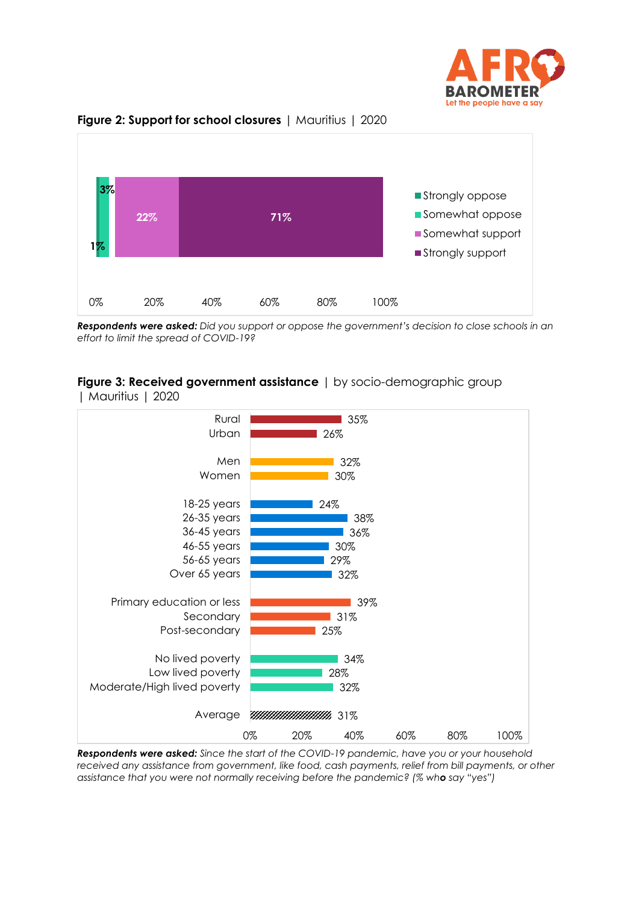



#### **Figure 2: Support for school closures** | Mauritius | 2020

*Respondents were asked: Did you support or oppose the government's decision to close schools in an effort to limit the spread of COVID-19?* 

#### **Figure 3: Received government assistance** | by socio-demographic group | Mauritius | 2020



*Respondents were asked: Since the start of the COVID-19 pandemic, have you or your household received any assistance from government, like food, cash payments, relief from bill payments, or other assistance that you were not normally receiving before the pandemic? (% who say "yes")*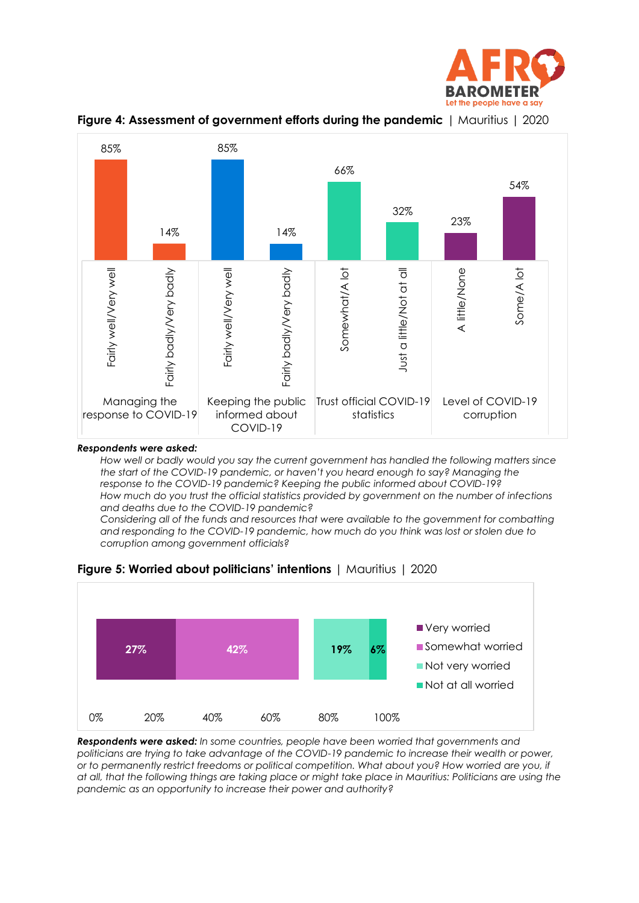



## **Figure 4: Assessment of government efforts during the pandemic** | Mauritius | 2020

#### *Respondents were asked:*

*How well or badly would you say the current government has handled the following matters since the start of the COVID-19 pandemic, or haven't you heard enough to say? Managing the response to the COVID-19 pandemic? Keeping the public informed about COVID-19? How much do you trust the official statistics provided by government on the number of infections and deaths due to the COVID-19 pandemic?*

*Considering all of the funds and resources that were available to the government for combatting and responding to the COVID-19 pandemic, how much do you think was lost or stolen due to corruption among government officials?*



**Figure 5: Worried about politicians' intentions** | Mauritius | 2020

*Respondents were asked: In some countries, people have been worried that governments and politicians are trying to take advantage of the COVID-19 pandemic to increase their wealth or power, or to permanently restrict freedoms or political competition. What about you? How worried are you, if at all, that the following things are taking place or might take place in Mauritius: Politicians are using the pandemic as an opportunity to increase their power and authority?*